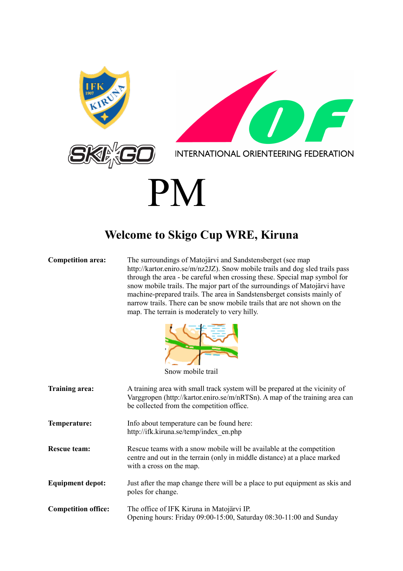

#### **Welcome to Skigo Cup WRE, Kiruna**

**Competition area:** The surroundings of Matojärvi and Sandstensberget (see map http://kartor.eniro.se/m/nz2JZ). Snow mobile trails and dog sled trails pass through the area - be careful when crossing these. Special map symbol for snow mobile trails. The major part of the surroundings of Matojärvi have machine-prepared trails. The area in Sandstensberget consists mainly of narrow trails. There can be snow mobile trails that are not shown on the map. The terrain is moderately to very hilly.



Snow mobile trail

| Training area:             | A training area with small track system will be prepared at the vicinity of<br>Varggropen (http://kartor.eniro.se/m/nRTSn). A map of the training area can<br>be collected from the competition office. |
|----------------------------|---------------------------------------------------------------------------------------------------------------------------------------------------------------------------------------------------------|
| Temperature:               | Info about temperature can be found here:<br>http://ifk.kiruna.se/temp/index en.php                                                                                                                     |
| Rescue team:               | Rescue teams with a snow mobile will be available at the competition<br>centre and out in the terrain (only in middle distance) at a place marked<br>with a cross on the map.                           |
| <b>Equipment depot:</b>    | Just after the map change there will be a place to put equipment as skis and<br>poles for change.                                                                                                       |
| <b>Competition office:</b> | The office of IFK Kiruna in Matojärvi IP.<br>Opening hours: Friday 09:00-15:00, Saturday 08:30-11:00 and Sunday                                                                                         |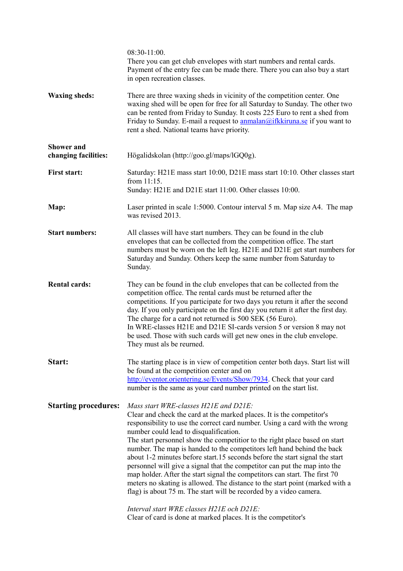|                                           | $08:30-11:00$ .<br>There you can get club envelopes with start numbers and rental cards.<br>Payment of the entry fee can be made there. There you can also buy a start<br>in open recreation classes.                                                                                                                                                                                                                                                                                                                                                                                                                                                                                                                                                                                                                                       |
|-------------------------------------------|---------------------------------------------------------------------------------------------------------------------------------------------------------------------------------------------------------------------------------------------------------------------------------------------------------------------------------------------------------------------------------------------------------------------------------------------------------------------------------------------------------------------------------------------------------------------------------------------------------------------------------------------------------------------------------------------------------------------------------------------------------------------------------------------------------------------------------------------|
| <b>Waxing sheds:</b>                      | There are three waxing sheds in vicinity of the competition center. One<br>waxing shed will be open for free for all Saturday to Sunday. The other two<br>can be rented from Friday to Sunday. It costs 225 Euro to rent a shed from<br>Friday to Sunday. E-mail a request to $\frac{annalan@ifkkiruna.se}{air}$ if you want to<br>rent a shed. National teams have priority.                                                                                                                                                                                                                                                                                                                                                                                                                                                               |
| <b>Shower and</b><br>changing facilities: | Högalidskolan (http://goo.gl/maps/lGQ0g).                                                                                                                                                                                                                                                                                                                                                                                                                                                                                                                                                                                                                                                                                                                                                                                                   |
| <b>First start:</b>                       | Saturday: H21E mass start 10:00, D21E mass start 10:10. Other classes start<br>from 11:15.<br>Sunday: H21E and D21E start 11:00. Other classes 10:00.                                                                                                                                                                                                                                                                                                                                                                                                                                                                                                                                                                                                                                                                                       |
| Map:                                      | Laser printed in scale 1:5000. Contour interval 5 m. Map size A4. The map<br>was revised 2013.                                                                                                                                                                                                                                                                                                                                                                                                                                                                                                                                                                                                                                                                                                                                              |
| <b>Start numbers:</b>                     | All classes will have start numbers. They can be found in the club<br>envelopes that can be collected from the competition office. The start<br>numbers must be worn on the left leg. H21E and D21E get start numbers for<br>Saturday and Sunday. Others keep the same number from Saturday to<br>Sunday.                                                                                                                                                                                                                                                                                                                                                                                                                                                                                                                                   |
| <b>Rental cards:</b>                      | They can be found in the club envelopes that can be collected from the<br>competition office. The rental cards must be returned after the<br>competitions. If you participate for two days you return it after the second<br>day. If you only participate on the first day you return it after the first day.<br>The charge for a card not returned is 500 SEK (56 Euro).<br>In WRE-classes H21E and D21E SI-cards version 5 or version 8 may not<br>be used. Those with such cards will get new ones in the club envelope.<br>They must als be reurned.                                                                                                                                                                                                                                                                                    |
| Start:                                    | The starting place is in view of competition center both days. Start list will<br>be found at the competition center and on<br>http://eventor.orientering.se/Events/Show/7934. Check that your card<br>number is the same as your card number printed on the start list.                                                                                                                                                                                                                                                                                                                                                                                                                                                                                                                                                                    |
| <b>Starting procedures:</b>               | Mass start WRE-classes H21E and D21E:<br>Clear and check the card at the marked places. It is the competitor's<br>responsibility to use the correct card number. Using a card with the wrong<br>number could lead to disqualification.<br>The start personnel show the competitior to the right place based on start<br>number. The map is handed to the competitors left hand behind the back<br>about 1-2 minutes before start.15 seconds before the start signal the start<br>personnel will give a signal that the competitor can put the map into the<br>map holder. After the start signal the competitors can start. The first 70<br>meters no skating is allowed. The distance to the start point (marked with a<br>flag) is about 75 m. The start will be recorded by a video camera.<br>Interval start WRE classes H21E och D21E: |
|                                           | Clear of card is done at marked places. It is the competitor's                                                                                                                                                                                                                                                                                                                                                                                                                                                                                                                                                                                                                                                                                                                                                                              |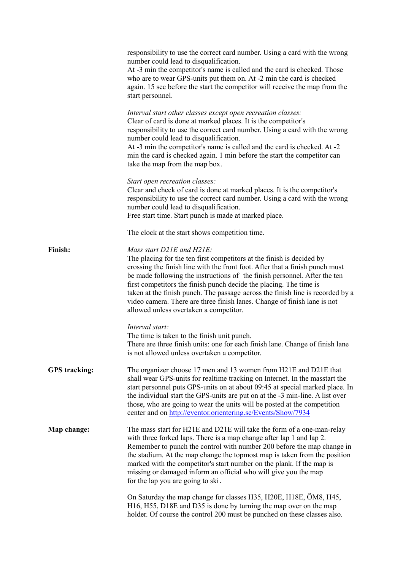|                      | responsibility to use the correct card number. Using a card with the wrong<br>number could lead to disqualification.<br>At -3 min the competitor's name is called and the card is checked. Those<br>who are to wear GPS-units put them on. At -2 min the card is checked<br>again. 15 sec before the start the competitor will receive the map from the<br>start personnel.                                                                                                                                                                   |
|----------------------|-----------------------------------------------------------------------------------------------------------------------------------------------------------------------------------------------------------------------------------------------------------------------------------------------------------------------------------------------------------------------------------------------------------------------------------------------------------------------------------------------------------------------------------------------|
|                      | Interval start other classes except open recreation classes:<br>Clear of card is done at marked places. It is the competitor's<br>responsibility to use the correct card number. Using a card with the wrong<br>number could lead to disqualification.<br>At -3 min the competitor's name is called and the card is checked. At -2<br>min the card is checked again. 1 min before the start the competitor can<br>take the map from the map box.                                                                                              |
|                      | Start open recreation classes:<br>Clear and check of card is done at marked places. It is the competitor's<br>responsibility to use the correct card number. Using a card with the wrong<br>number could lead to disqualification.<br>Free start time. Start punch is made at marked place.                                                                                                                                                                                                                                                   |
|                      | The clock at the start shows competition time.                                                                                                                                                                                                                                                                                                                                                                                                                                                                                                |
| Finish:              | Mass start D21E and H21E:<br>The placing for the ten first competitors at the finish is decided by<br>crossing the finish line with the front foot. After that a finish punch must<br>be made following the instructions of the finish personnel. After the ten<br>first competitors the finish punch decide the placing. The time is<br>taken at the finish punch. The passage across the finish line is recorded by a<br>video camera. There are three finish lanes. Change of finish lane is not<br>allowed unless overtaken a competitor. |
|                      | Interval start:<br>The time is taken to the finish unit punch.<br>There are three finish units: one for each finish lane. Change of finish lane<br>is not allowed unless overtaken a competitor.                                                                                                                                                                                                                                                                                                                                              |
| <b>GPS</b> tracking: | The organizer choose 17 men and 13 women from H21E and D21E that<br>shall wear GPS-units for realtime tracking on Internet. In the masstart the<br>start personnel puts GPS-units on at about 09:45 at special marked place. In<br>the individual start the GPS-units are put on at the -3 min-line. A list over<br>those, who are going to wear the units will be posted at the competition<br>center and on http://eventor.orientering.se/Events/Show/7934                                                                                  |
| Map change:          | The mass start for H21E and D21E will take the form of a one-man-relay<br>with three forked laps. There is a map change after lap 1 and lap 2.<br>Remember to punch the control with number 200 before the map change in<br>the stadium. At the map change the topmost map is taken from the position<br>marked with the competitor's start number on the plank. If the map is<br>missing or damaged inform an official who will give you the map<br>for the lap you are going to ski.                                                        |
|                      | On Saturday the map change for classes H35, H20E, H18E, ÖM8, H45,<br>H16, H55, D18E and D35 is done by turning the map over on the map<br>holder. Of course the control 200 must be punched on these classes also.                                                                                                                                                                                                                                                                                                                            |